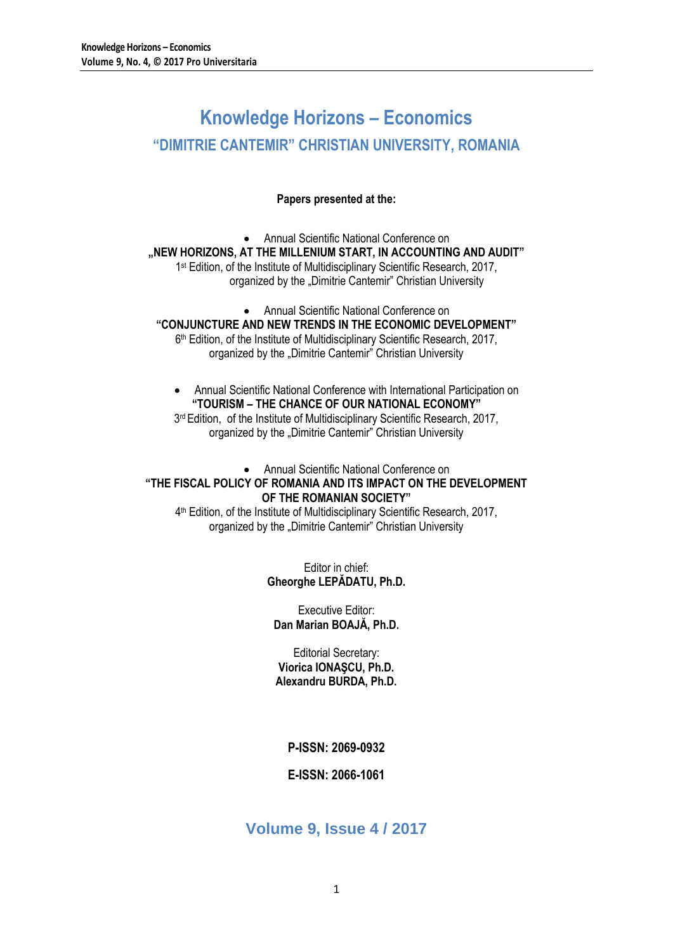# **Knowledge Horizons – Economics "DIMITRIE CANTEMIR" CHRISTIAN UNIVERSITY, ROMANIA**

**Papers presented at the:**

 Annual Scientific National Conference on **"NEW HORIZONS, AT THE MILLENIUM START, IN ACCOUNTING AND AUDIT"** 1<sup>st</sup> Edition, of the Institute of Multidisciplinary Scientific Research, 2017, organized by the "Dimitrie Cantemir" Christian University

 Annual Scientific National Conference on **"CONJUNCTURE AND NEW TRENDS IN THE ECONOMIC DEVELOPMENT"** 6<sup>th</sup> Edition, of the Institute of Multidisciplinary Scientific Research, 2017, organized by the "Dimitrie Cantemir" Christian University

 Annual Scientific National Conference with International Participation on **"TOURISM – THE CHANCE OF OUR NATIONAL ECONOMY"** 3<sup>rd</sup> Edition, of the Institute of Multidisciplinary Scientific Research, 2017,

organized by the "Dimitrie Cantemir" Christian University

## Annual Scientific National Conference on **"THE FISCAL POLICY OF ROMANIA AND ITS IMPACT ON THE DEVELOPMENT OF THE ROMANIAN SOCIETY"**

4 th Edition, of the Institute of Multidisciplinary Scientific Research, 2017, organized by the "Dimitrie Cantemir" Christian University

> Editor in chief: **Gheorghe LEPĂDATU, Ph.D.**

Executive Editor: **Dan Marian BOAJĂ, Ph.D.**

Editorial Secretary: **Viorica IONAŞCU, Ph.D. Alexandru BURDA, Ph.D.**

**P-ISSN: 2069-0932**

## **E-ISSN: 2066-1061**

# **Volume 9, Issue 4 / 2017**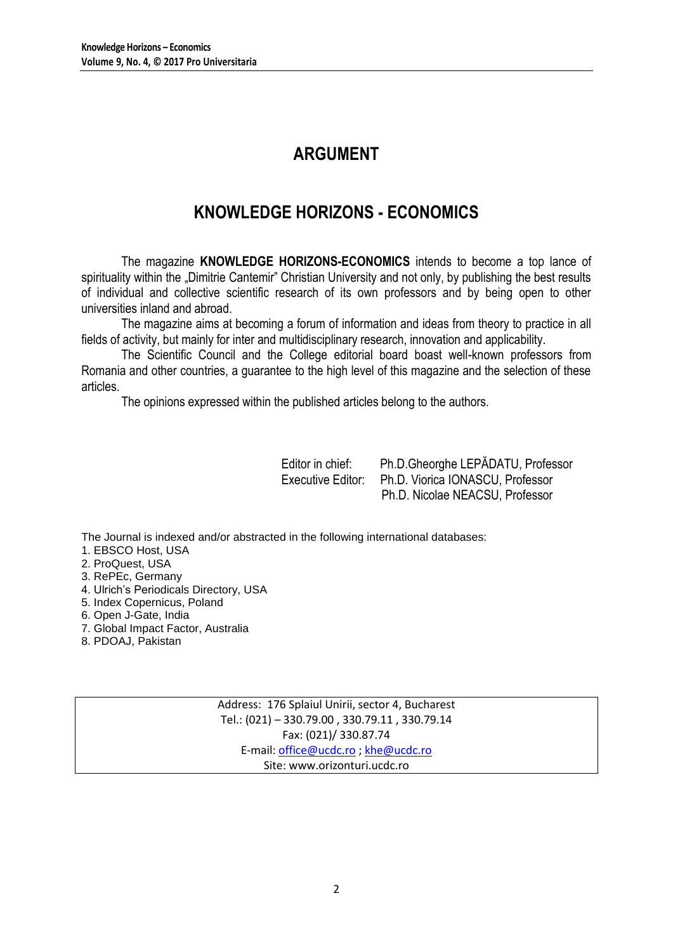# **ARGUMENT**

# **KNOWLEDGE HORIZONS - ECONOMICS**

The magazine **KNOWLEDGE HORIZONS-ECONOMICS** intends to become a top lance of spirituality within the "Dimitrie Cantemir" Christian University and not only, by publishing the best results of individual and collective scientific research of its own professors and by being open to other universities inland and abroad.

The magazine aims at becoming a forum of information and ideas from theory to practice in all fields of activity, but mainly for inter and multidisciplinary research, innovation and applicability.

The Scientific Council and the College editorial board boast well-known professors from Romania and other countries, a guarantee to the high level of this magazine and the selection of these articles.

The opinions expressed within the published articles belong to the authors.

Editor in chief: Ph.D.Gheorghe LEPĂDATU, Professor Executive Editor: Ph.D. Viorica IONASCU, Professor Ph.D. Nicolae NEACSU, Professor

The Journal is indexed and/or abstracted in the following international databases:

1. EBSCO Host, USA

- 2. ProQuest, USA
- 3. RePEc, Germany
- 4. Ulrich's Periodicals Directory, USA
- 5. Index Copernicus, Poland
- 6. Open J-Gate, India
- 7. Global Impact Factor, Australia
- 8. PDOAJ, Pakistan

Address: 176 Splaiul Unirii, sector 4, Bucharest Tel.: (021) – 330.79.00 , 330.79.11 , 330.79.14 Fax: (021)/ 330.87.74 E-mail[: office@ucdc.ro](mailto:office@ucdc.ro) [; khe@ucdc.ro](mailto:khe@ucdc.ro) Site: www.orizonturi.ucdc.ro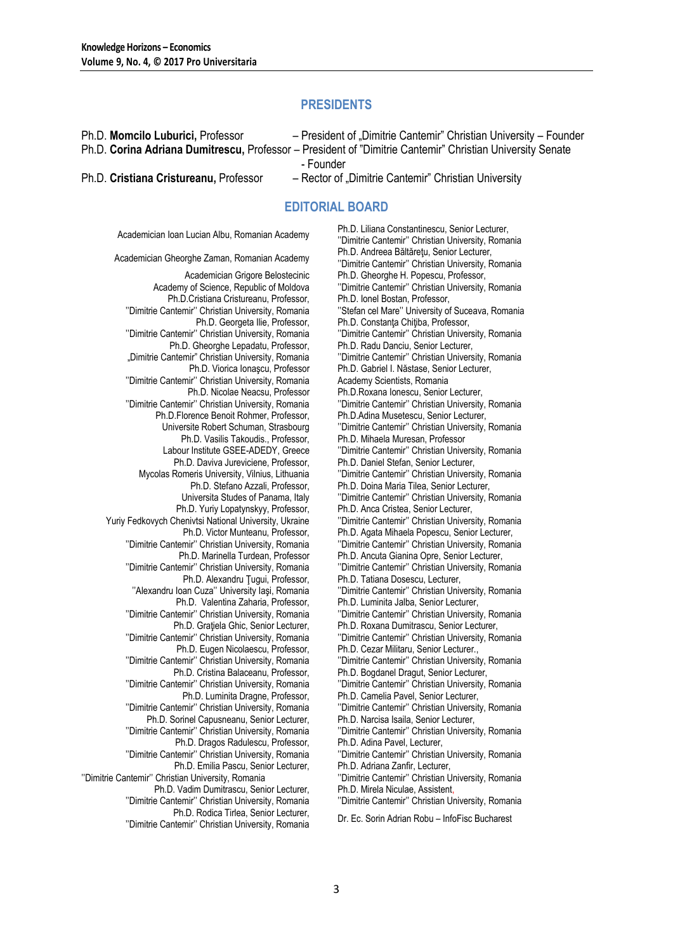## **PRESIDENTS**

Ph.D. **Momcilo Luburici,** Professor– President of "Dimitrie Cantemir" Christian University – Founder Ph.D. **Corina Adriana Dumitrescu,** Professor – President of "Dimitrie Cantemir" Christian University Senate - Founder Ph.D. **Cristiana Cristureanu,** Professor – Rector of "Dimitrie Cantemir" Christian University

## **EDITORIAL BOARD**

Academician Ioan Lucian Albu, Romanian Academy Ph.D. Liliana Constantinescu, Senior Lecturer,

Academician Grigore Belostecinic Academy of Science, Republic of Moldova Ph.D.Cristiana Cristureanu, Professor, ''Dimitrie Cantemir'' Christian University, Romania Ph.D. Georgeta Ilie, Professor, ''Dimitrie Cantemir'' Christian University, Romania Ph.D. Gheorghe Lepadatu, Professor, "Dimitrie Cantemir" Christian University, Romania Ph.D. Viorica Ionaşcu, Professor ''Dimitrie Cantemir'' Christian University, Romania Ph.D. Nicolae Neacsu, Professor ''Dimitrie Cantemir'' Christian University, Romania Ph.D.Florence Benoit Rohmer, Professor, Universite Robert Schuman, Strasbourg Ph.D. Vasilis Takoudis., Professor, Labour Institute GSEE-ADEDY, Greece Ph.D. Daviva Jureviciene, Professor, Mycolas Romeris University, Vilnius, Lithuania Ph.D. Stefano Azzali, Professor, Universita Studes of Panama, Italy Ph.D. Yuriy Lopatynskyy, Professor, Yuriy Fedkovych Chenivtsi National University, Ukraine Ph.D. Victor Munteanu, Professor, ''Dimitrie Cantemir'' Christian University, Romania Ph.D. Marinella Turdean, Professor ''Dimitrie Cantemir'' Christian University, Romania Ph.D. Alexandru Ţugui, Professor, ''Alexandru Ioan Cuza'' University Iaşi, Romania Ph.D. Valentina Zaharia, Professor, ''Dimitrie Cantemir'' Christian University, Romania Ph.D. Gratiela Ghic, Senior Lecturer, ''Dimitrie Cantemir'' Christian University, Romania Ph.D. Eugen Nicolaescu, Professor, ''Dimitrie Cantemir'' Christian University, Romania Ph.D. Cristina Balaceanu, Professor, ''Dimitrie Cantemir'' Christian University, Romania Ph.D. Luminita Dragne, Professor, ''Dimitrie Cantemir'' Christian University, Romania Ph.D. Sorinel Capusneanu, Senior Lecturer, ''Dimitrie Cantemir'' Christian University, Romania Ph.D. Dragos Radulescu, Professor, ''Dimitrie Cantemir'' Christian University, Romania Ph.D. Emilia Pascu, Senior Lecturer, ''Dimitrie Cantemir'' Christian University, Romania Ph.D. Vadim Dumitrascu, Senior Lecturer, ''Dimitrie Cantemir'' Christian University, Romania Ph.D. Rodica Tirlea, Senior Lecturer, ''Dimitrie Cantemir'' Christian University, Romania Dr. Ec. Sorin Adrian Robu – InfoFisc Bucharest

''Dimitrie Cantemir'' Christian University, Romania Academician Gheorghe Zaman, Romanian Academy Ph.D. Andreea Băltăreţu, Senior Lecturer, ''Dimitrie Cantemir'' Christian University, Romania Ph.D. Gheorghe H. Popescu, Professor, ''Dimitrie Cantemir'' Christian University, Romania Ph.D. Ionel Bostan, Professor, ''Stefan cel Mare'' University of Suceava, Romania Ph.D. Constanța Chițiba, Professor, ''Dimitrie Cantemir'' Christian University, Romania Ph.D. Radu Danciu, Senior Lecturer, ''Dimitrie Cantemir'' Christian University, Romania Ph.D. Gabriel I. Năstase, Senior Lecturer, Academy Scientists, Romania Ph.D.Roxana Ionescu, Senior Lecturer, ''Dimitrie Cantemir'' Christian University, Romania Ph.D.Adina Musetescu, Senior Lecturer, ''Dimitrie Cantemir'' Christian University, Romania Ph.D. Mihaela Muresan, Professor ''Dimitrie Cantemir'' Christian University, Romania Ph.D. Daniel Stefan, Senior Lecturer, ''Dimitrie Cantemir'' Christian University, Romania Ph.D. Doina Maria Tilea, Senior Lecturer, ''Dimitrie Cantemir'' Christian University, Romania Ph.D. Anca Cristea, Senior Lecturer, ''Dimitrie Cantemir'' Christian University, Romania Ph.D. Agata Mihaela Popescu, Senior Lecturer, ''Dimitrie Cantemir'' Christian University, Romania Ph.D. Ancuta Gianina Opre, Senior Lecturer, ''Dimitrie Cantemir'' Christian University, Romania Ph.D. Tatiana Dosescu, Lecturer, ''Dimitrie Cantemir'' Christian University, Romania Ph.D. Luminita Jalba, Senior Lecturer, ''Dimitrie Cantemir'' Christian University, Romania Ph.D. Roxana Dumitrascu, Senior Lecturer, ''Dimitrie Cantemir'' Christian University, Romania Ph.D. Cezar Militaru, Senior Lecturer., ''Dimitrie Cantemir'' Christian University, Romania Ph.D. Bogdanel Dragut, Senior Lecturer, ''Dimitrie Cantemir'' Christian University, Romania Ph.D. Camelia Pavel, Senior Lecturer, ''Dimitrie Cantemir'' Christian University, Romania Ph.D. Narcisa Isaila, Senior Lecturer, ''Dimitrie Cantemir'' Christian University, Romania Ph.D. Adina Pavel, Lecturer, ''Dimitrie Cantemir'' Christian University, Romania Ph.D. Adriana Zanfir, Lecturer, ''Dimitrie Cantemir'' Christian University, Romania Ph.D. Mirela Niculae, Assistent, ''Dimitrie Cantemir'' Christian University, Romania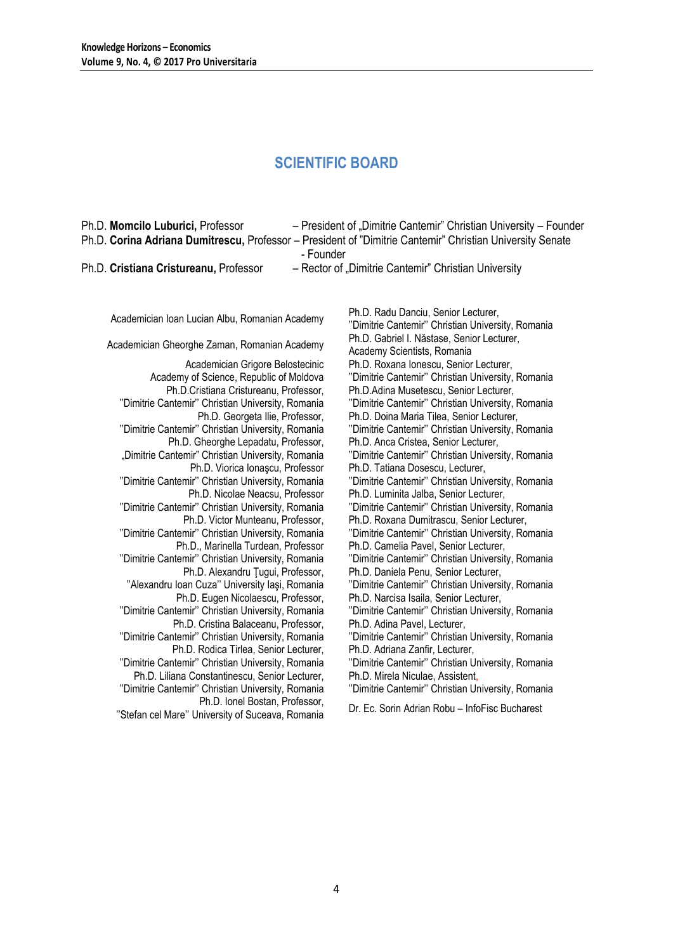## **SCIENTIFIC BOARD**

| Ph.D. Momcilo Luburici, Professor      | - President of "Dimitrie Cantemir" Christian University - Founder                                         |
|----------------------------------------|-----------------------------------------------------------------------------------------------------------|
|                                        | Ph.D. Corina Adriana Dumitrescu, Professor – President of "Dimitrie Cantemir" Christian University Senate |
|                                        | - Founder                                                                                                 |
| Ph.D. Cristiana Cristureanu, Professor | - Rector of "Dimitrie Cantemir" Christian University                                                      |

Academician Ioan Lucian Albu, Romanian Academy Ph.D. Radu Danciu, Senior Lecturer,

- Academician Grigore Belostecinic Academy of Science, Republic of Moldova Ph.D.Cristiana Cristureanu, Professor, ''Dimitrie Cantemir'' Christian University, Romania Ph.D. Georgeta Ilie, Professor, ''Dimitrie Cantemir'' Christian University, Romania Ph.D. Gheorghe Lepadatu, Professor, "Dimitrie Cantemir" Christian University, Romania Ph.D. Viorica Ionaşcu, Professor ''Dimitrie Cantemir'' Christian University, Romania Ph.D. Nicolae Neacsu, Professor ''Dimitrie Cantemir'' Christian University, Romania Ph.D. Victor Munteanu, Professor, ''Dimitrie Cantemir'' Christian University, Romania Ph.D., Marinella Turdean, Professor ''Dimitrie Cantemir'' Christian University, Romania Ph.D. Alexandru Ţugui, Professor, ''Alexandru Ioan Cuza'' University Iaşi, Romania Ph.D. Eugen Nicolaescu, Professor, ''Dimitrie Cantemir'' Christian University, Romania Ph.D. Cristina Balaceanu, Professor, ''Dimitrie Cantemir'' Christian University, Romania Ph.D. Rodica Tirlea, Senior Lecturer, ''Dimitrie Cantemir'' Christian University, Romania Ph.D. Liliana Constantinescu, Senior Lecturer, ''Dimitrie Cantemir'' Christian University, Romania Ph.D. Ionel Bostan, Professor,
	- ''Stefan cel Mare'' University of Suceava, Romania Dr. Ec. Sorin Adrian Robu InfoFisc Bucharest

''Dimitrie Cantemir'' Christian University, Romania Academician Gheorghe Zaman, Romanian Academy Ph.D. Gabriel I. Năstase, Senior Lecturer, Academy Scientists, Romania Ph.D. Roxana Ionescu, Senior Lecturer, ''Dimitrie Cantemir'' Christian University, Romania Ph.D.Adina Musetescu, Senior Lecturer, ''Dimitrie Cantemir'' Christian University, Romania Ph.D. Doina Maria Tilea, Senior Lecturer, ''Dimitrie Cantemir'' Christian University, Romania Ph.D. Anca Cristea, Senior Lecturer, ''Dimitrie Cantemir'' Christian University, Romania Ph.D. Tatiana Dosescu, Lecturer, ''Dimitrie Cantemir'' Christian University, Romania Ph.D. Luminita Jalba, Senior Lecturer, ''Dimitrie Cantemir'' Christian University, Romania Ph.D. Roxana Dumitrascu, Senior Lecturer, ''Dimitrie Cantemir'' Christian University, Romania Ph.D. Camelia Pavel, Senior Lecturer, ''Dimitrie Cantemir'' Christian University, Romania Ph.D. Daniela Penu, Senior Lecturer, ''Dimitrie Cantemir'' Christian University, Romania Ph.D. Narcisa Isaila, Senior Lecturer, ''Dimitrie Cantemir'' Christian University, Romania Ph.D. Adina Pavel, Lecturer, ''Dimitrie Cantemir'' Christian University, Romania Ph.D. Adriana Zanfir, Lecturer, ''Dimitrie Cantemir'' Christian University, Romania Ph.D. Mirela Niculae, Assistent,

''Dimitrie Cantemir'' Christian University, Romania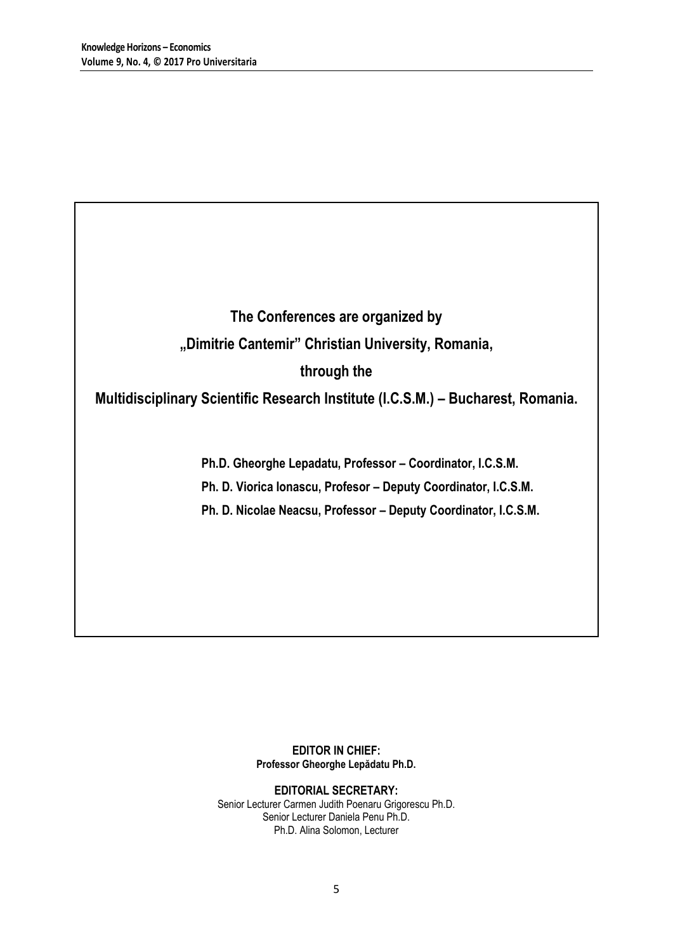**The Conferences are organized by "Dimitrie Cantemir" Christian University, Romania, through the** 

**Multidisciplinary Scientific Research Institute (I.C.S.M.) – Bucharest, Romania.**

**Ph.D. Gheorghe Lepadatu, Professor – Coordinator, I.C.S.M.**

**Ph. D. Viorica Ionascu, Profesor – Deputy Coordinator, I.C.S.M.**

**Ph. D. Nicolae Neacsu, Professor – Deputy Coordinator, I.C.S.M.**

**EDITOR IN CHIEF: Professor Gheorghe Lepădatu Ph.D.**

**EDITORIAL SECRETARY:** Senior Lecturer Carmen Judith Poenaru Grigorescu Ph.D. Senior Lecturer Daniela Penu Ph.D. Ph.D. Alina Solomon, Lecturer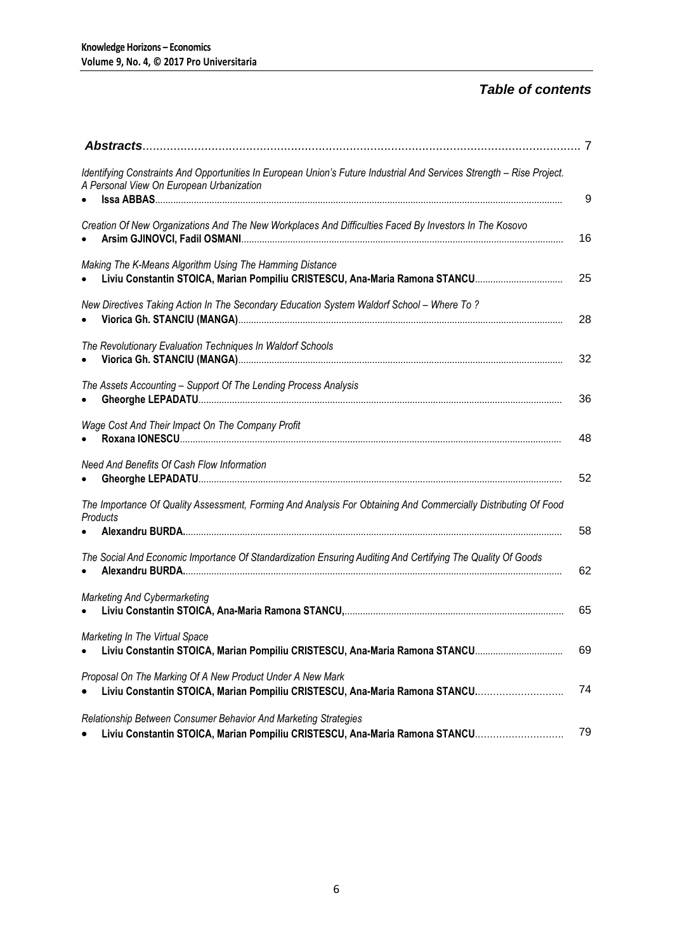# *Table of contents*

| Identifying Constraints And Opportunities In European Union's Future Industrial And Services Strength - Rise Project.<br>A Personal View On European Urbanization | 9  |
|-------------------------------------------------------------------------------------------------------------------------------------------------------------------|----|
| Creation Of New Organizations And The New Workplaces And Difficulties Faced By Investors In The Kosovo                                                            | 16 |
| Making The K-Means Algorithm Using The Hamming Distance<br>Liviu Constantin STOICA, Marian Pompiliu CRISTESCU, Ana-Maria Ramona STANCU                            | 25 |
| New Directives Taking Action In The Secondary Education System Waldorf School - Where To ?                                                                        | 28 |
| The Revolutionary Evaluation Techniques In Waldorf Schools                                                                                                        | 32 |
| The Assets Accounting - Support Of The Lending Process Analysis                                                                                                   | 36 |
| Wage Cost And Their Impact On The Company Profit                                                                                                                  | 48 |
| Need And Benefits Of Cash Flow Information                                                                                                                        | 52 |
| The Importance Of Quality Assessment, Forming And Analysis For Obtaining And Commercially Distributing Of Food<br>Products                                        | 58 |
| The Social And Economic Importance Of Standardization Ensuring Auditing And Certifying The Quality Of Goods                                                       | 62 |
| <b>Marketing And Cybermarketing</b>                                                                                                                               | 65 |
| Marketing In The Virtual Space<br>Liviu Constantin STOICA, Marian Pompiliu CRISTESCU, Ana-Maria Ramona STANCU                                                     | 69 |
| Proposal On The Marking Of A New Product Under A New Mark<br>Liviu Constantin STOICA, Marian Pompiliu CRISTESCU, Ana-Maria Ramona STANCU                          | 74 |
| Relationship Between Consumer Behavior And Marketing Strategies<br>Liviu Constantin STOICA, Marian Pompiliu CRISTESCU, Ana-Maria Ramona STANCU                    | 79 |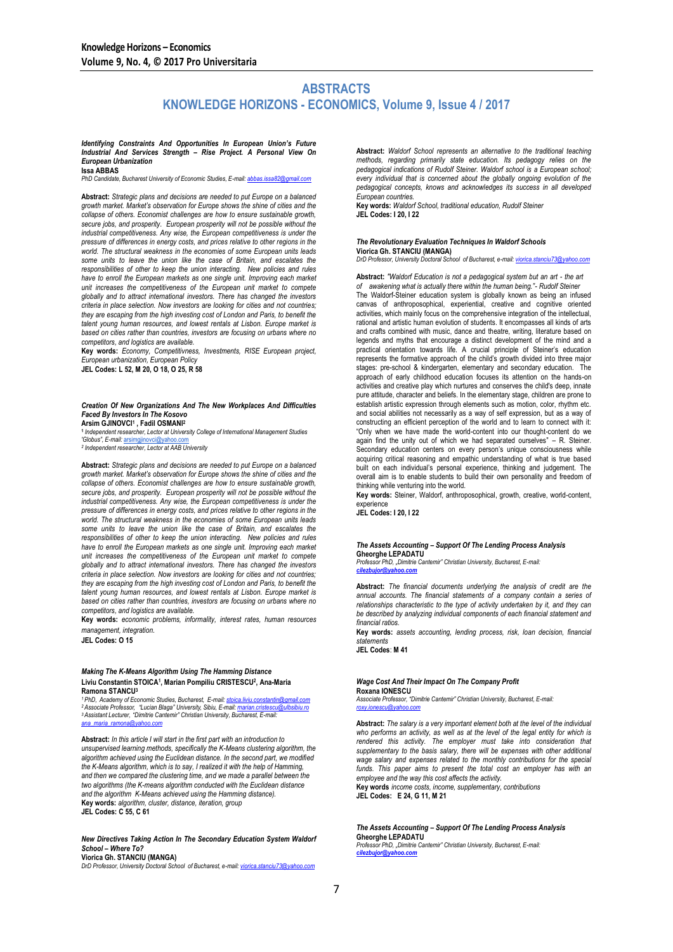## **ABSTRACTS KNOWLEDGE HORIZONS - ECONOMICS, Volume 9, Issue 4 / 2017**

#### *Identifying Constraints And Opportunities In European Union's Future Industrial And Services Strength – Rise Project. A Personal View On European Urbanization*

**Issa ABBAS** *PhD Candidate, Bucharest University of Economic Studies, E-mail[: abbas.issa82@gmail.com](mailto:abbas.issa82@gmail.com)*

**Abstract:** *Strategic plans and decisions are needed to put Europe on a balanced growth market. Market's observation for Europe shows the shine of cities and the collapse of others. Economist challenges are how to ensure sustainable growth, secure jobs, and prosperity. European prosperity will not be possible without the industrial competitiveness. Any wise, the European competitiveness is under the pressure of differences in energy costs, and prices relative to other regions in the world. The structural weakness in the economies of some European units leads*  some units to leave the union like the case of Britain, and escalates the *responsibilities of other to keep the union interacting. New policies and rules*  have to enroll the European markets as one single unit. Improving each market *unit increases the competitiveness of the European unit market to compete globally and to attract international investors. There has changed the investors criteria in place selection. Now investors are looking for cities and not countries; they are escaping from the high investing cost of London and Paris, to benefit the talent young human resources, and lowest rentals at Lisbon. Europe market is based on cities rather than countries, investors are focusing on urbans where no competitors, and logistics are available.* 

**Key words:** *Economy, Competitivness, Investments, RISE European project, European urbanization, European Policy*

**JEL Codes: L 52, M 20, O 18, O 25, R 58**

#### *Creation Of New Organizations And The New Workplaces And Difficulties Faced By Investors In The Kosovo*

**Arsim GJINOVCI<sup>1</sup> , Fadil OSMANI<sup>2</sup> 1** *Independent researcher, Lector at University College of International Management Studies 'Globus", E-mail:* [arsimgjinovci@yahoo.com](mailto:arsimgjinovci@yahoo.com)

*2 Independent researcher, Lector at AAB University*

**Abstract:** *Strategic plans and decisions are needed to put Europe on a balanced growth market. Market's observation for Europe shows the shine of cities and the collapse of others. Economist challenges are how to ensure sustainable growth, secure jobs, and prosperity. European prosperity will not be possible without the industrial competitiveness. Any wise, the European competitiveness is under the pressure of differences in energy costs, and prices relative to other regions in the world. The structural weakness in the economies of some European units leads*  some units to leave the union like the case of Britain, and escalates the *responsibilities of other to keep the union interacting. New policies and rules*  have to enroll the European markets as one single unit. Improving each market *unit increases the competitiveness of the European unit market to compete globally and to attract international investors. There has changed the investors criteria in place selection. Now investors are looking for cities and not countries; they are escaping from the high investing cost of London and Paris, to benefit the talent young human resources, and lowest rentals at Lisbon. Europe market is based on cities rather than countries, investors are focusing on urbans where no competitors, and logistics are available.* 

**Key words:** *economic problems, informality, interest rates, human resources management, integration.*

**JEL Codes: O 15**

#### *Making The K-Means Algorithm Using The Hamming Distance* **Liviu Constantin STOICA<sup>1</sup> , Marian Pompiliu CRISTESCU<sup>2</sup> , Ana-Maria Ramona STANCU<sup>3</sup>**

<sup>1</sup> PhD, Academy of Economic Studies, Bucharest, E-mail: <u>stoica.liviu.constantin@qmail.com</u><br><sup>2</sup> Associate Professor, "Lucian Blaga" University, Sibiu, E-mail<u>: [marian.cristescu@ulbsibiu.ro](mailto:marian.cristescu@ulbsibiu.ro)</u> *<sup>3</sup> Assistant Lecturer, "Dimitrie Cantemir" Christian University, Bucharest, E-mail: [ana\\_maria\\_ramona@yahoo.com](mailto:ana_maria_ramona@yahoo.com)*

**Abstract:** *In this article I will start in the first part with an introduction to unsupervised learning methods, specifically the K-Means clustering algorithm, the algorithm achieved using the Euclidean distance. In the second part, we modified the K-Means algorithm, which is to say, I realized it with the help of Hamming, and then we compared the clustering time, and we made a parallel between the two algorithms (the K-means algorithm conducted with the Euclidean distance and the algorithm K-Means achieved using the Hamming distance).* **Key words:** *algorithm, cluster, distance, iteration, group* **JEL Codes: C 55, C 61**

#### *New Directives Taking Action In The Secondary Education System Waldorf School – Where To?* **Viorica Gh. STANCIU (MANGA)**

*DrD Professor, University Doctoral School of Bucharest, e-mail[: viorica.stanciu73@yahoo.com](mailto:viorica.stanciu73@yahoo.com)*

**Abstract:** *Waldorf School represents an alternative to the traditional teaching methods, regarding primarily state education. Its pedagogy relies on the pedagogical indications of Rudolf Steiner. Waldorf school is a European school; every individual that is concerned about the globally ongoing evolution of the pedagogical concepts, knows and acknowledges its success in all developed European countries.*

**Key words:** *Waldorf School, traditional education, Rudolf Steiner* **JEL Codes: I 20, I 22**

#### *The Revolutionary Evaluation Techniques In Waldorf Schools* **Viorica Gh. STANCIU (MANGA)**

*DrD Professor, University Doctoral School of Bucharest, e-mail[: viorica.stanciu73@yahoo.com](mailto:viorica.stanciu73@yahoo.com)*

**Abstract:** *"Waldorf Education is not a pedagogical system but an art - the art of awakening what is actually there within the human being."- Rudolf Steiner*  The Waldorf-Steiner education system is globally known as being an infused canvas of anthroposophical, experiential, creative and cognitive oriented activities, which mainly focus on the comprehensive integration of the intellectual, rational and artistic human evolution of students. It encompasses all kinds of arts and crafts combined with music, dance and theatre, writing, literature based on legends and myths that encourage a distinct development of the mind and a practical orientation towards life. A crucial principle of Steiner's education represents the formative approach of the child's growth divided into three major stages: pre-school & kindergarten, elementary and secondary education. The approach of early childhood education focuses its attention on the hands-on activities and creative play which nurtures and conserves the child's deep, innate pure attitude, character and beliefs. In the elementary stage, children are prone to establish artistic expression through elements such as motion, color, rhythm etc. and social abilities not necessarily as a way of self expression, but as a way of constructing an efficient perception of the world and to learn to connect with it: "Only when we have made the world-content into our thought-content do we again find the unity out of which we had separated ourselves" – R. Steiner. Secondary education centers on every person's unique consciousness while acquiring critical reasoning and empathic understanding of what is true based built on each individual's personal experience, thinking and judgement. The overall aim is to enable students to build their own personality and freedom of thinking while venturing into the world.

**Key words:** Steiner, Waldorf, anthroposophical, growth, creative, world-content, experience

**JEL Codes: I 20, I 22**

### *The Assets Accounting – Support Of The Lending Process Analysis* **Gheorghe LEPADATU** *Professor PhD, "Dimitrie Cantemir" Christian University, Bucharest, E-mail:*

*[cilezbujor@yahoo.com](mailto:cilezbujor@yahoo.com)*

**Abstract:** *The financial documents underlying the analysis of credit are the annual accounts. The financial statements of a company contain a series of relationships characteristic to the type of activity undertaken by it, and they can be described by analyzing individual components of each financial statement and financial ratios.* 

**Key words:** *assets accounting, lending process, risk, loan decision, financial statements*

**JEL Codes**: **M 41**

#### *Wage Cost And Their Impact On The Company Profit* **Roxana IONESCU**

*Associate Professor, "Dimitrie Cantemir" Christian University, Bucharest, E-mail: [roxy.ionescu@yahoo.com](mailto:roxy.ionescu@yahoo.com)*

**Abstract:** *The salary is a very important element both at the level of the individual who performs an activity, as well as at the level of the legal entity for which is rendered this activity. The employer must take into consideration that supplementary to the basis salary, there will be expenses with other additional*  wage salary and expenses related to the monthly contributions for the special funds. This paper aims to present the total cost an employer has with an *employee and the way this cost affects the activity.*

**Key words** *income costs, income, supplementary, contributions* **JEL Codes: E 24, G 11, M 21**

#### *The Assets Accounting – Support Of The Lending Process Analysis* **Gheorghe LEPADATU**

*Professor PhD, "Dimitrie Cantemir" Christian University, Bucharest, E-mail: [cilezbujor@yahoo.com](mailto:cilezbujor@yahoo.com)*